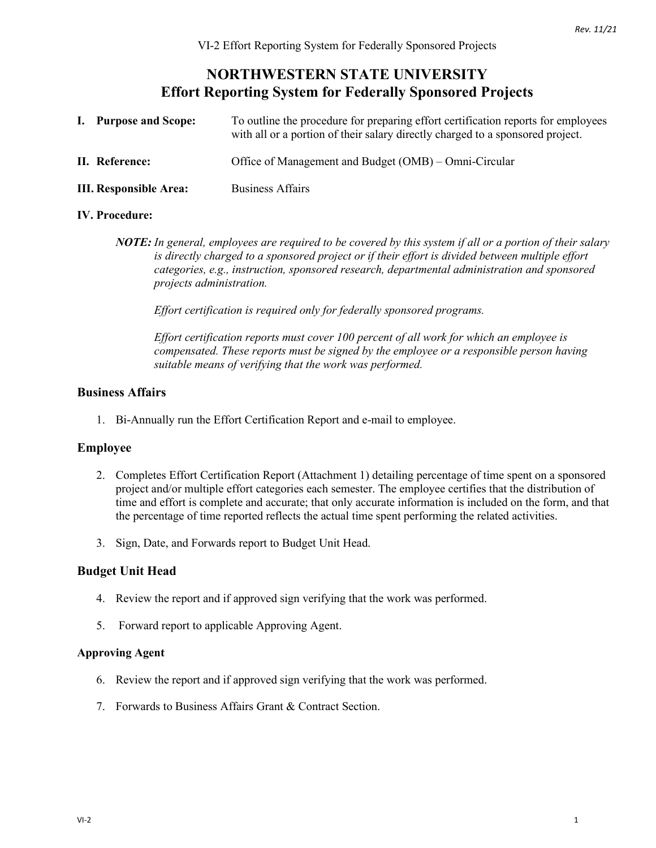# **NORTHWESTERN STATE UNIVERSITY Effort Reporting System for Federally Sponsored Projects**

| I. Purpose and Scope:         | To outline the procedure for preparing effort certification reports for employees<br>with all or a portion of their salary directly charged to a sponsored project. |
|-------------------------------|---------------------------------------------------------------------------------------------------------------------------------------------------------------------|
| II. Reference:                | Office of Management and Budget (OMB) – Omni-Circular                                                                                                               |
| <b>III. Responsible Area:</b> | <b>Business Affairs</b>                                                                                                                                             |

#### **IV. Procedure:**

*NOTE: In general, employees are required to be covered by this system if all or a portion of their salary is directly charged to a sponsored project or if their effort is divided between multiple effort categories, e.g., instruction, sponsored research, departmental administration and sponsored projects administration.*

*Effort certification is required only for federally sponsored programs.* 

*Effort certification reports must cover 100 percent of all work for which an employee is compensated. These reports must be signed by the employee or a responsible person having suitable means of verifying that the work was performed.*

#### **Business Affairs**

1. Bi-Annually run the Effort Certification Report and e-mail to employee.

## **Employee**

- 2. Completes Effort Certification Report (Attachment 1) detailing percentage of time spent on a sponsored project and/or multiple effort categories each semester. The employee certifies that the distribution of time and effort is complete and accurate; that only accurate information is included on the form, and that the percentage of time reported reflects the actual time spent performing the related activities.
- 3. Sign, Date, and Forwards report to Budget Unit Head.

## **Budget Unit Head**

- 4. Review the report and if approved sign verifying that the work was performed.
- 5. Forward report to applicable Approving Agent.

#### **Approving Agent**

- 6. Review the report and if approved sign verifying that the work was performed.
- 7. Forwards to Business Affairs Grant & Contract Section.